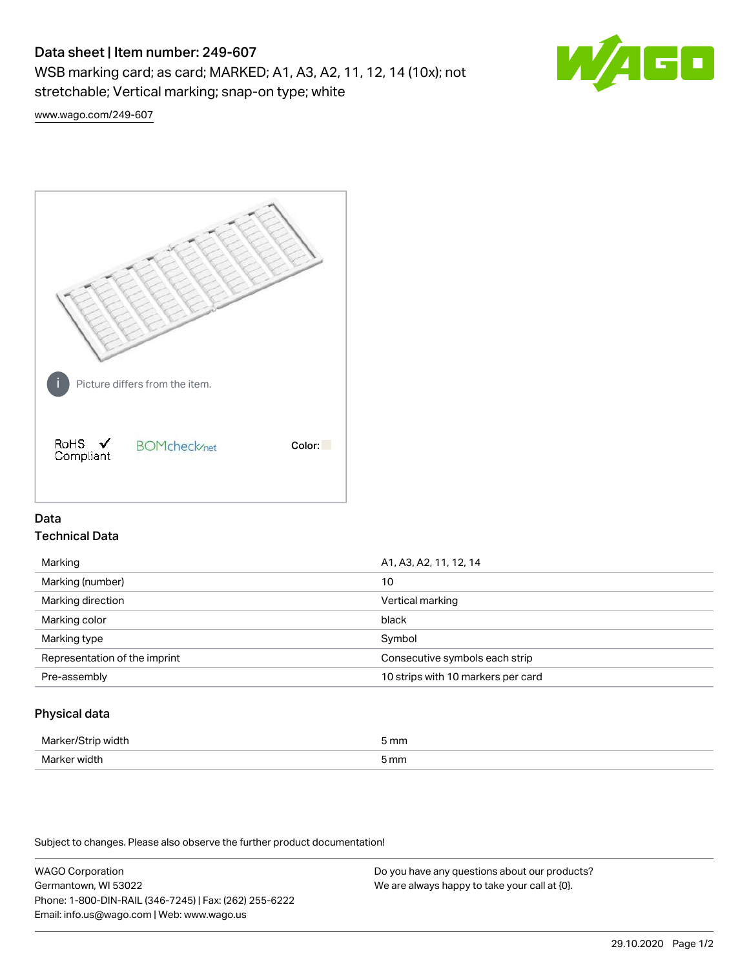# Data sheet | Item number: 249-607

WSB marking card; as card; MARKED; A1, A3, A2, 11, 12, 14 (10x); not stretchable; Vertical marking; snap-on type; white



[www.wago.com/249-607](http://www.wago.com/249-607)



# Data Technical Data

| Marking                       | A1, A3, A2, 11, 12, 14             |  |
|-------------------------------|------------------------------------|--|
| Marking (number)              | 10                                 |  |
| Marking direction             | Vertical marking                   |  |
| Marking color                 | black                              |  |
| Marking type                  | Symbol                             |  |
| Representation of the imprint | Consecutive symbols each strip     |  |
| Pre-assembly                  | 10 strips with 10 markers per card |  |
|                               |                                    |  |

## Physical data

| Mar                      | 5 mm |
|--------------------------|------|
| M <sub>cr</sub><br>width | 5 mm |

Subject to changes. Please also observe the further product documentation!

WAGO Corporation Germantown, WI 53022 Phone: 1-800-DIN-RAIL (346-7245) | Fax: (262) 255-6222 Email: info.us@wago.com | Web: www.wago.us Do you have any questions about our products? We are always happy to take your call at {0}.